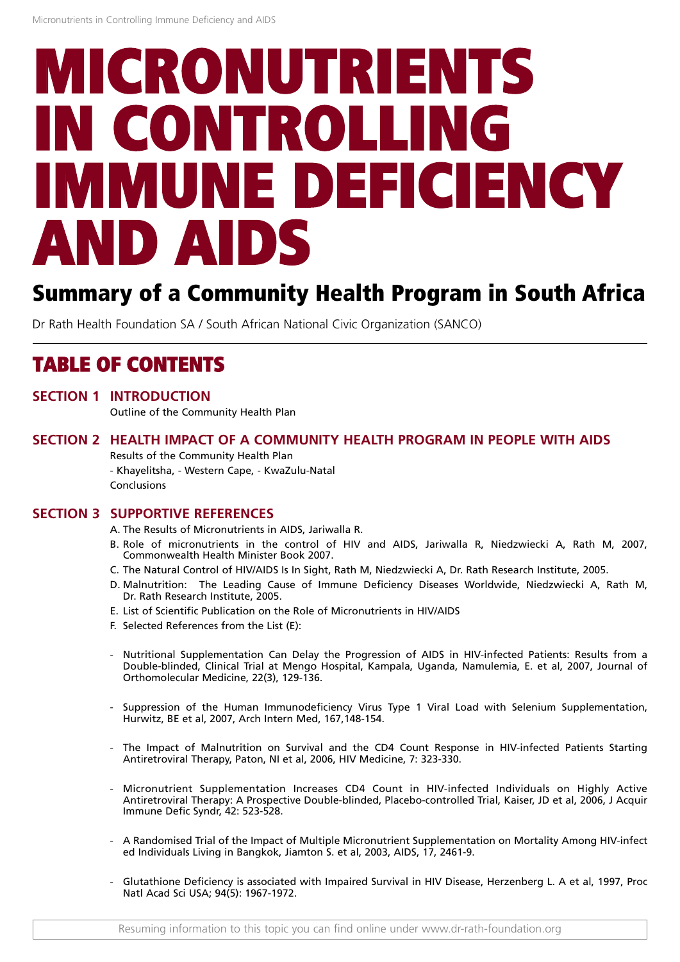# **MICRONUTRIENTS IN CONTROLLING IMMUNE DEFICIENCY AND AIDS**

## **Summary of a Community Health Program in South Africa**

Dr Rath Health Foundation SA / South African National Civic Organization (SANCO)

## **TABLE OF CONTENTS**

**SECTION 1 INTRODUCTION** Outline of the Community Health Plan

### **SECTION 2 HEALTH IMPACT OF A COMMUNITY HEALTH PROGRAM IN PEOPLE WITH AIDS** Results of the Community Health Plan

- Khayelitsha, - Western Cape, - KwaZulu-Natal Conclusions

### **SECTION 3 SUPPORTIVE REFERENCES**

- A. The Results of Micronutrients in AIDS, Jariwalla R.
- B. Role of micronutrients in the control of HIV and AIDS, Jariwalla R, Niedzwiecki A, Rath M, 2007, Commonwealth Health Minister Book 2007.
- C. The Natural Control of HIV/AIDS Is In Sight, Rath M, Niedzwiecki A, Dr. Rath Research Institute, 2005.
- D. Malnutrition: The Leading Cause of Immune Deficiency Diseases Worldwide, Niedzwiecki A, Rath M, Dr. Rath Research Institute, 2005.
- E. List of Scientific Publication on the Role of Micronutrients in HIV/AIDS
- F. Selected References from the List (E):
- Nutritional Supplementation Can Delay the Progression of AIDS in HIV-infected Patients: Results from a Double-blinded, Clinical Trial at Mengo Hospital, Kampala, Uganda, Namulemia, E. et al, 2007, Journal of Orthomolecular Medicine, 22(3), 129-136.
- Suppression of the Human Immunodeficiency Virus Type 1 Viral Load with Selenium Supplementation, Hurwitz, BE et al, 2007, Arch Intern Med, 167,148-154.
- The Impact of Malnutrition on Survival and the CD4 Count Response in HIV-infected Patients Starting Antiretroviral Therapy, Paton, NI et al, 2006, HIV Medicine, 7: 323-330.
- Micronutrient Supplementation Increases CD4 Count in HIV-infected Individuals on Highly Active Antiretroviral Therapy: A Prospective Double-blinded, Placebo-controlled Trial, Kaiser, JD et al, 2006, J Acquir Immune Defic Syndr, 42: 523-528.
- A Randomised Trial of the Impact of Multiple Micronutrient Supplementation on Mortality Among HIV-infect ed Individuals Living in Bangkok, Jiamton S. et al, 2003, AIDS, 17, 2461-9.
- Glutathione Deficiency is associated with Impaired Survival in HIV Disease, Herzenberg L. A et al, 1997, Proc Natl Acad Sci USA; 94(5): 1967-1972.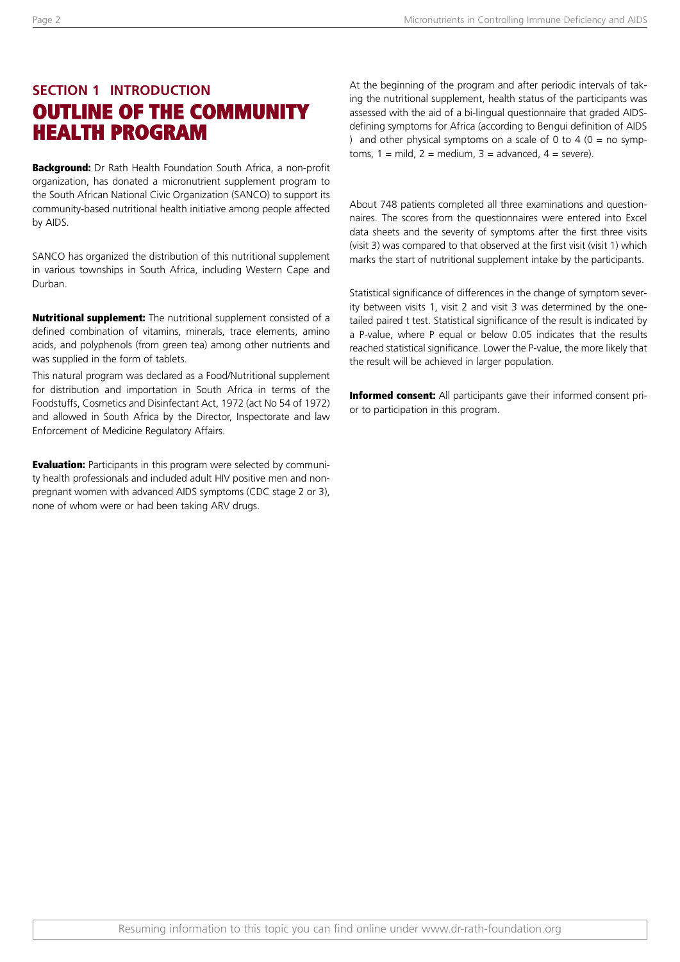Page 2

## **SECTION 1 INTRODUCTION OUTLINE OF THE COMMUNITY HEALTH PROGRAM**

**Background:** Dr Rath Health Foundation South Africa, a non-profit organization, has donated a micronutrient supplement program to the South African National Civic Organization (SANCO) to support its community-based nutritional health initiative among people affected by AIDS.

SANCO has organized the distribution of this nutritional supplement in various townships in South Africa, including Western Cape and Durban.

**Nutritional supplement:** The nutritional supplement consisted of a defined combination of vitamins, minerals, trace elements, amino acids, and polyphenols (from green tea) among other nutrients and was supplied in the form of tablets.

This natural program was declared as a Food/Nutritional supplement for distribution and importation in South Africa in terms of the Foodstuffs, Cosmetics and Disinfectant Act, 1972 (act No 54 of 1972) and allowed in South Africa by the Director, Inspectorate and law Enforcement of Medicine Regulatory Affairs.

**Evaluation:** Participants in this program were selected by community health professionals and included adult HIV positive men and nonpregnant women with advanced AIDS symptoms (CDC stage 2 or 3), none of whom were or had been taking ARV drugs.

At the beginning of the program and after periodic intervals of taking the nutritional supplement, health status of the participants was assessed with the aid of a bi-lingual questionnaire that graded AIDSdefining symptoms for Africa (according to Bengui definition of AIDS ) and other physical symptoms on a scale of 0 to 4 ( $0 = no$  symptoms,  $1 = \text{mild}$ ,  $2 = \text{medium}$ ,  $3 = \text{advanced}$ ,  $4 = \text{severe}$ ).

About 748 patients completed all three examinations and questionnaires. The scores from the questionnaires were entered into Excel data sheets and the severity of symptoms after the first three visits (visit 3) was compared to that observed at the first visit (visit 1) which marks the start of nutritional supplement intake by the participants.

Statistical significance of differences in the change of symptom severity between visits 1, visit 2 and visit 3 was determined by the onetailed paired t test. Statistical significance of the result is indicated by a P-value, where P equal or below 0.05 indicates that the results reached statistical significance. Lower the P-value, the more likely that the result will be achieved in larger population.

**Informed consent:** All participants gave their informed consent prior to participation in this program.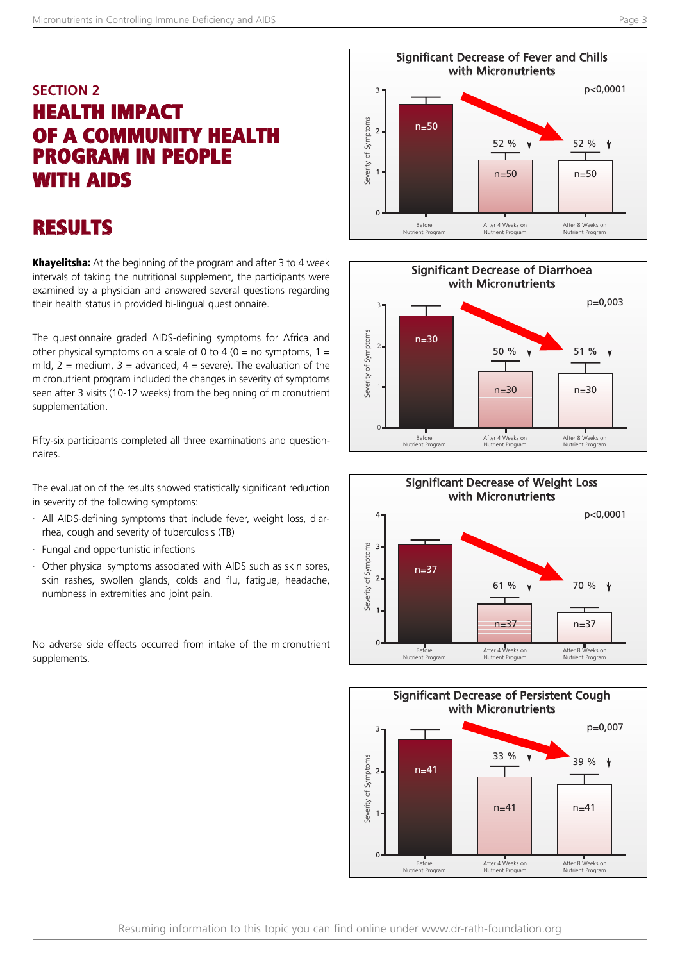## **SECTION 2 HEALTH IMPACT OF A COMMUNITY HEALTH PROGRAM IN PEOPLE WITH AIDS**

## **RESULTS**

**Khayelitsha:** At the beginning of the program and after 3 to 4 week intervals of taking the nutritional supplement, the participants were examined by a physician and answered several questions regarding their health status in provided bi-lingual questionnaire.

The questionnaire graded AIDS-defining symptoms for Africa and other physical symptoms on a scale of 0 to 4 (0 = no symptoms, 1 = mild,  $2 =$  medium,  $3 =$  advanced,  $4 =$  severe). The evaluation of the micronutrient program included the changes in severity of symptoms seen after 3 visits (10-12 weeks) from the beginning of micronutrient supplementation.

Fifty-six participants completed all three examinations and questionnaires.

The evaluation of the results showed statistically significant reduction in severity of the following symptoms:

- · All AIDS-defining symptoms that include fever, weight loss, diarrhea, cough and severity of tuberculosis (TB)
- · Fungal and opportunistic infections
- · Other physical symptoms associated with AIDS such as skin sores, skin rashes, swollen glands, colds and flu, fatigue, headache, numbness in extremities and joint pain.

No adverse side effects occurred from intake of the micronutrient supplements.







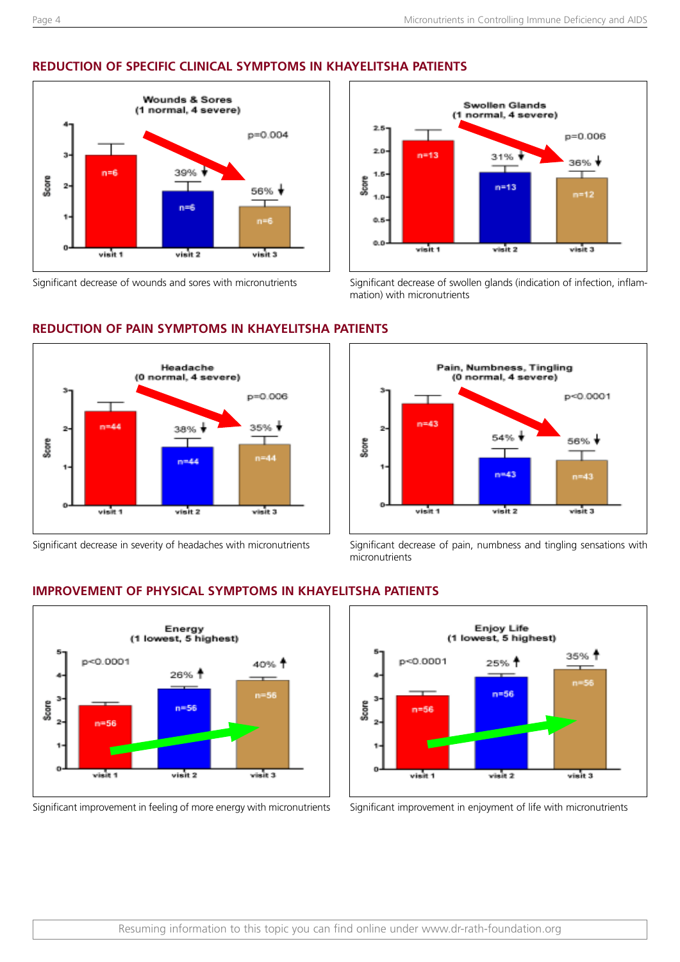## **REDUCTION OF SPECIFIC CLINICAL SYMPTOMS IN KHAYELITSHA PATIENTS**



**REDUCTION OF PAIN SYMPTOMS IN KHAYELITSHA PATIENTS**



Significant decrease of wounds and sores with micronutrients Significant decrease of swollen glands (indication of infection, inflammation) with micronutrients





Significant decrease in severity of headaches with micronutrients Significant decrease of pain, numbness and tingling sensations with micronutrients



**IMPROVEMENT OF PHYSICAL SYMPTOMS IN KHAYELITSHA PATIENTS**

Significant improvement in feeling of more energy with micronutrients Significant improvement in enjoyment of life with micronutrients

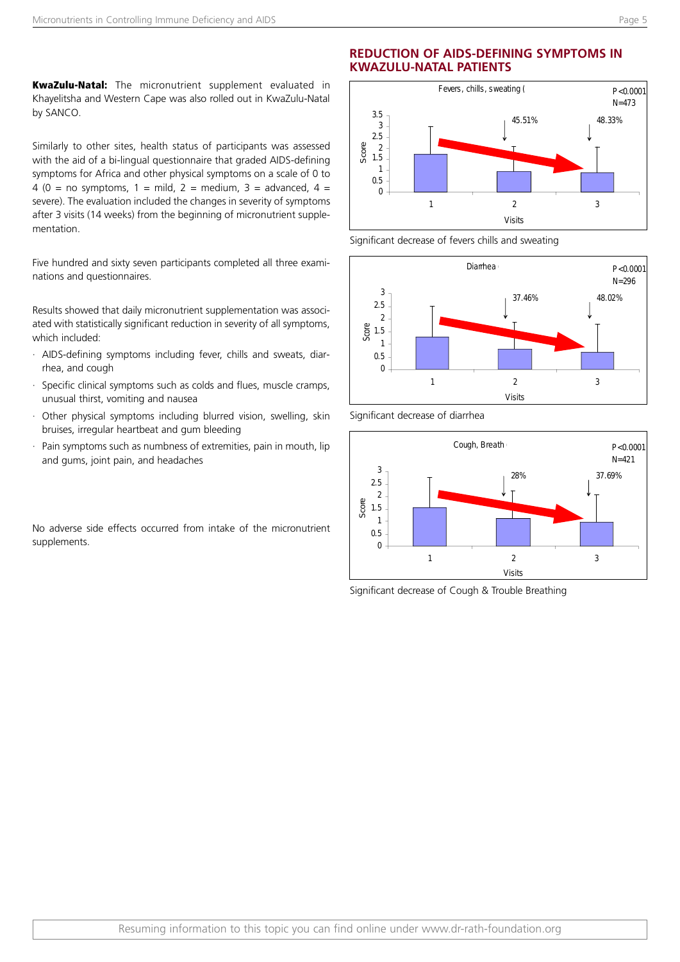**KwaZulu-Natal:** The micronutrient supplement evaluated in Khayelitsha and Western Cape was also rolled out in KwaZulu-Natal by SANCO.

Similarly to other sites, health status of participants was assessed with the aid of a bi-lingual questionnaire that graded AIDS-defining symptoms for Africa and other physical symptoms on a scale of 0 to 4 (0 = no symptoms, 1 = mild, 2 = medium, 3 = advanced, 4 = severe). The evaluation included the changes in severity of symptoms after 3 visits (14 weeks) from the beginning of micronutrient supplementation.

Five hundred and sixty seven participants completed all three examinations and questionnaires.

Results showed that daily micronutrient supplementation was associated with statistically significant reduction in severity of all symptoms. which included:

- · AIDS-defining symptoms including fever, chills and sweats, diarrhea, and cough
- · Specific clinical symptoms such as colds and flues, muscle cramps, unusual thirst, vomiting and nausea
- · Other physical symptoms including blurred vision, swelling, skin bruises, irregular heartbeat and gum bleeding
- Pain symptoms such as numbness of extremities, pain in mouth, lip and gums, joint pain, and headaches

No adverse side effects occurred from intake of the micronutrient supplements.

### **REDUCTION OF AIDS-DEFINING SYMPTOMS IN KWAZULU-NATAL PATIENTS**



Significant decrease of fevers chills and sweating

Significant decrease of diarrhea





Significant decrease of Cough & Trouble Breathing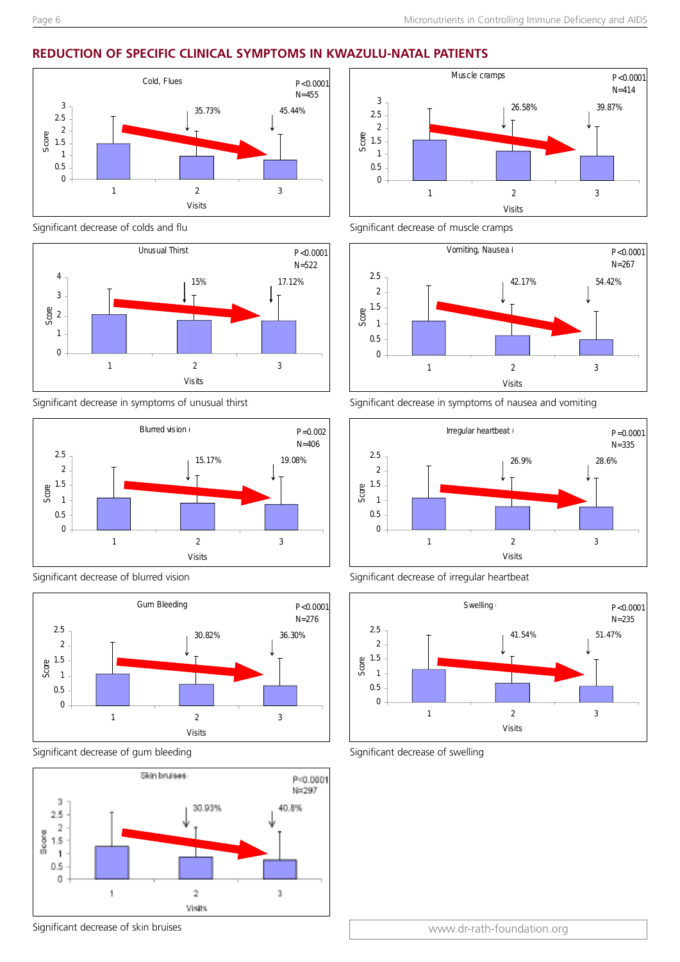### **REDUCTION OF SPECIFIC CLINICAL SYMPTOMS IN KWAZULU-NATAL PATIENTS**



Significant decrease of colds and flu



Significant decrease in symptoms of unusual thirst



Significant decrease of blurred vision



Significant decrease of gum bleeding



Significant decrease of skin bruises





Significant decrease in symptoms of nausea and vomiting







Significant decrease of swelling

www.dr-rath-foundation.org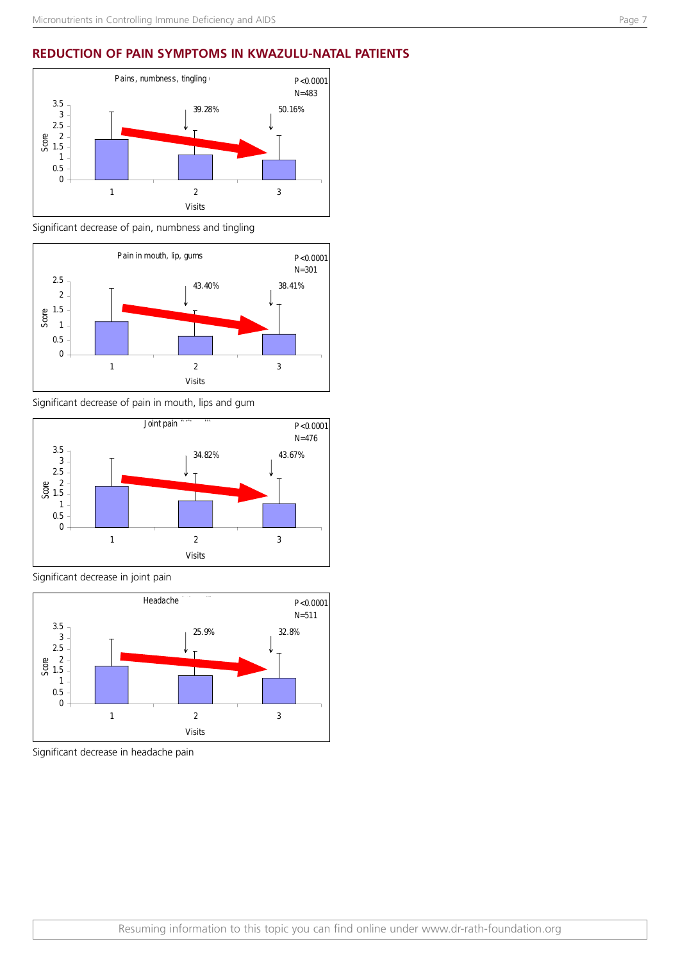### **REDUCTION OF PAIN SYMPTOMS IN KWAZULU-NATAL PATIENTS**



Significant decrease of pain, numbness and tingling



Significant decrease of pain in mouth, lips and gum



Significant decrease in joint pain



Significant decrease in headache pain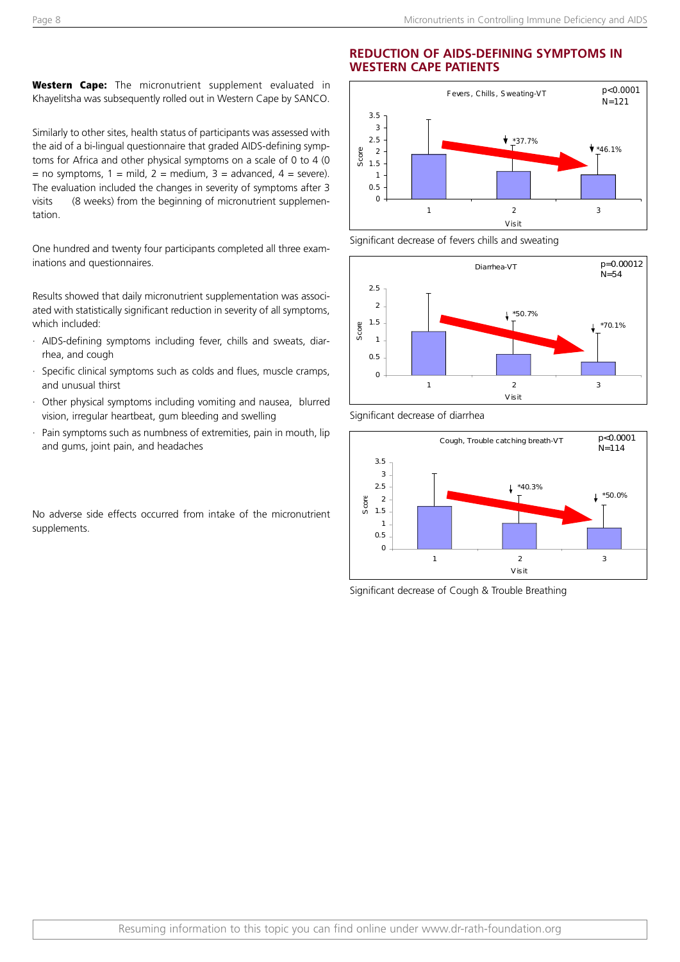**Western Cape:** The micronutrient supplement evaluated in Khayelitsha was subsequently rolled out in Western Cape by SANCO.

Similarly to other sites, health status of participants was assessed with the aid of a bi-lingual questionnaire that graded AIDS-defining symptoms for Africa and other physical symptoms on a scale of 0 to 4 (0 = no symptoms,  $1 = \text{mild}$ ,  $2 = \text{medium}$ ,  $3 = \text{advanced}$ ,  $4 = \text{severe}$ . The evaluation included the changes in severity of symptoms after 3 visits (8 weeks) from the beginning of micronutrient supplementation.

One hundred and twenty four participants completed all three examinations and questionnaires.

Results showed that daily micronutrient supplementation was associated with statistically significant reduction in severity of all symptoms, which included:

- · AIDS-defining symptoms including fever, chills and sweats, diarrhea, and cough
- Specific clinical symptoms such as colds and flues, muscle cramps, and unusual thirst
- · Other physical symptoms including vomiting and nausea, blurred vision, irregular heartbeat, gum bleeding and swelling
- Pain symptoms such as numbness of extremities, pain in mouth, lip and gums, joint pain, and headaches

No adverse side effects occurred from intake of the micronutrient supplements.

#### **REDUCTION OF AIDS-DEFINING SYMPTOMS IN WESTERN CAPE PATIENTS**



Significant decrease of fevers chills and sweating



Significant decrease of diarrhea



Significant decrease of Cough & Trouble Breathing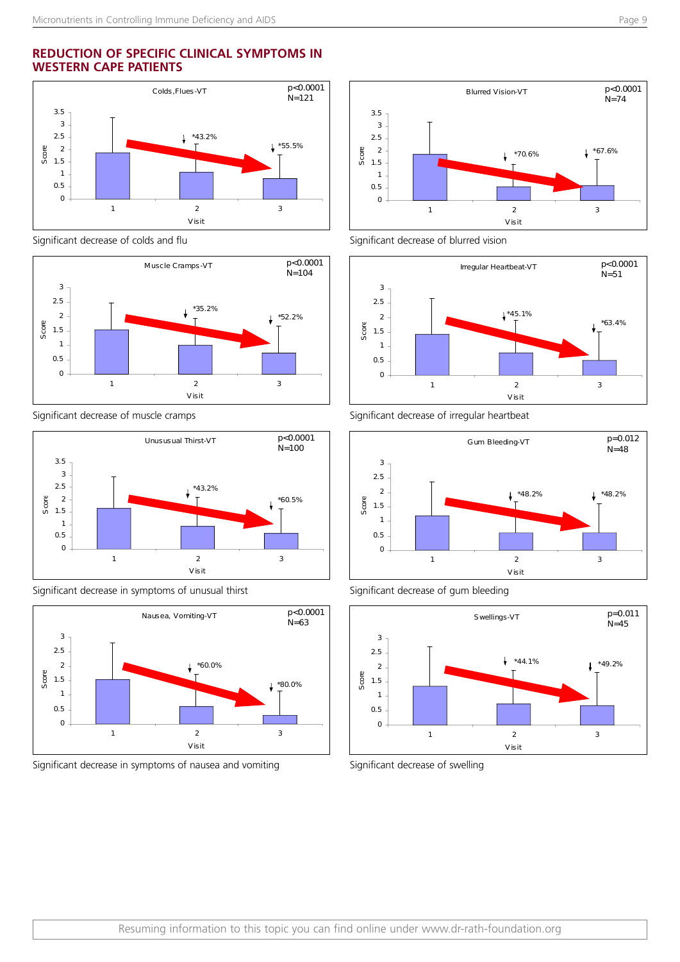### **REDUCTION OF SPECIFIC CLINICAL SYMPTOMS IN WESTERN CAPE PATIENTS**



Significant decrease of colds and flu



Significant decrease of muscle cramps



Significant decrease in symptoms of unusual thirst



Significant decrease in symptoms of nausea and vomiting



Significant decrease of blurred vision



Significant decrease of irregular heartbeat







Significant decrease of swelling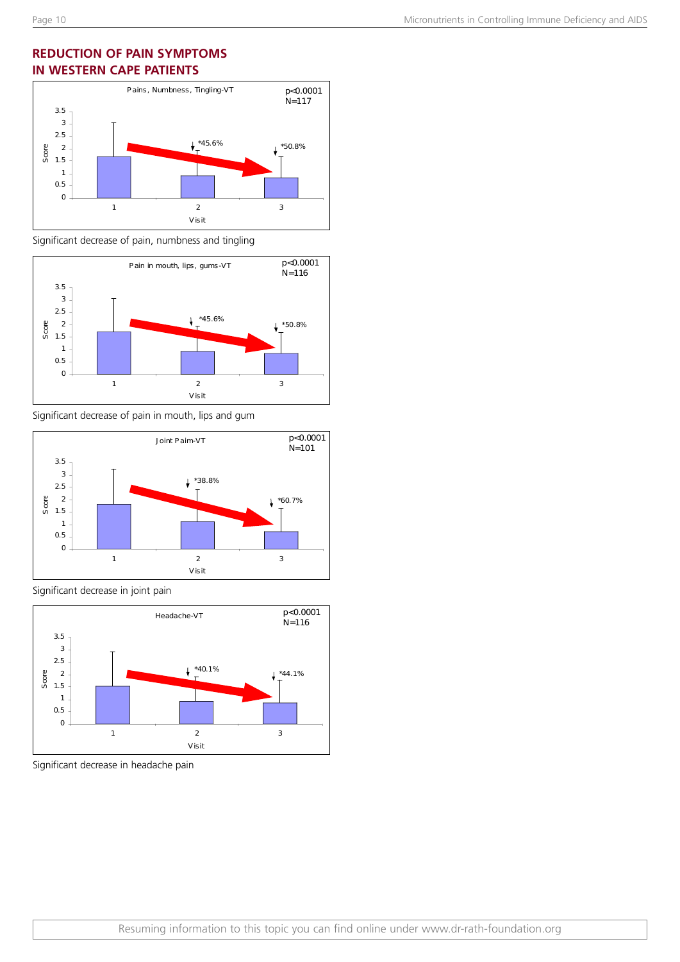### **REDUCTION OF PAIN SYMPTOMS IN WESTERN CAPE PATIENTS**



Significant decrease of pain, numbness and tingling



Significant decrease of pain in mouth, lips and gum



Significant decrease in joint pain



Significant decrease in headache pain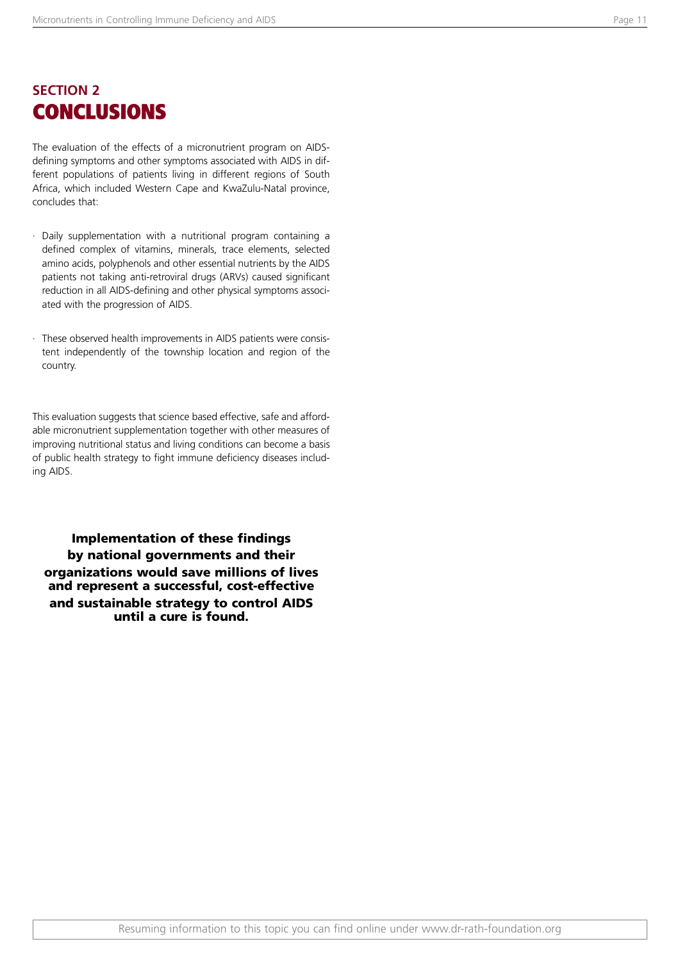### **SECTION 2 CONCLUSIONS**

The evaluation of the effects of a micronutrient program on AIDSdefining symptoms and other symptoms associated with AIDS in different populations of patients living in different regions of South Africa, which included Western Cape and KwaZulu-Natal province, concludes that:

- · Daily supplementation with a nutritional program containing a defined complex of vitamins, minerals, trace elements, selected amino acids, polyphenols and other essential nutrients by the AIDS patients not taking anti-retroviral drugs (ARVs) caused significant reduction in all AIDS-defining and other physical symptoms associated with the progression of AIDS.
- These observed health improvements in AIDS patients were consistent independently of the township location and region of the country.

This evaluation suggests that science based effective, safe and affordable micronutrient supplementation together with other measures of improving nutritional status and living conditions can become a basis of public health strategy to fight immune deficiency diseases including AIDS.

**Implementation of these findings by national governments and their organizations would save millions of lives and represent a successful, cost-effective and sustainable strategy to control AIDS until a cure is found.**